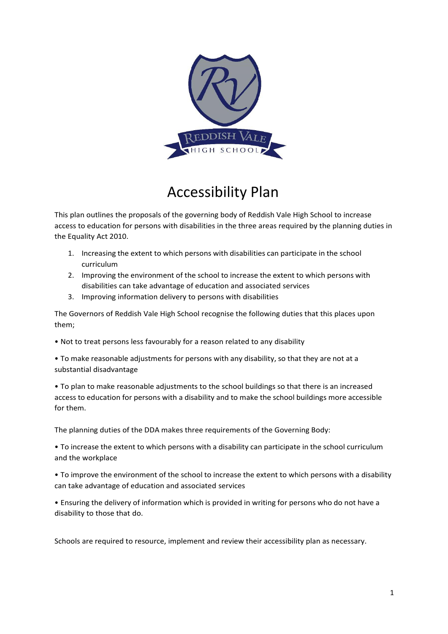

## Accessibility Plan

This plan outlines the proposals of the governing body of Reddish Vale High School to increase access to education for persons with disabilities in the three areas required by the planning duties in the Equality Act 2010.

- 1. Increasing the extent to which persons with disabilities can participate in the school curriculum
- 2. Improving the environment of the school to increase the extent to which persons with disabilities can take advantage of education and associated services
- 3. Improving information delivery to persons with disabilities

The Governors of Reddish Vale High School recognise the following duties that this places upon them;

- Not to treat persons less favourably for a reason related to any disability
- To make reasonable adjustments for persons with any disability, so that they are not at a substantial disadvantage

• To plan to make reasonable adjustments to the school buildings so that there is an increased access to education for persons with a disability and to make the school buildings more accessible for them.

The planning duties of the DDA makes three requirements of the Governing Body:

• To increase the extent to which persons with a disability can participate in the school curriculum and the workplace

• To improve the environment of the school to increase the extent to which persons with a disability can take advantage of education and associated services

• Ensuring the delivery of information which is provided in writing for persons who do not have a disability to those that do.

Schools are required to resource, implement and review their accessibility plan as necessary.